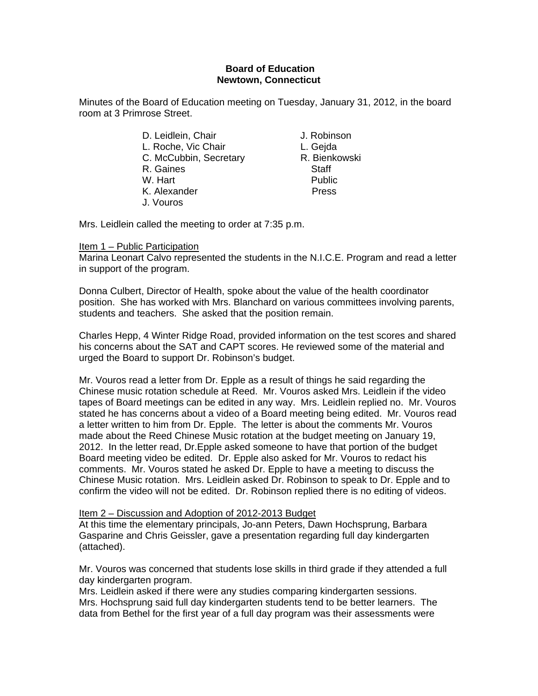#### **Board of Education Newtown, Connecticut**

Minutes of the Board of Education meeting on Tuesday, January 31, 2012, in the board room at 3 Primrose Street.

- D. Leidlein, Chair **J. Robinson** L. Roche, Vic Chair **L. Geida** C. McCubbin, Secretary R. Bienkowski R. Gaines Staff W. Hart **Public** K. Alexander Press J. Vouros
- 

Mrs. Leidlein called the meeting to order at 7:35 p.m.

#### Item 1 – Public Participation

Marina Leonart Calvo represented the students in the N.I.C.E. Program and read a letter in support of the program.

Donna Culbert, Director of Health, spoke about the value of the health coordinator position. She has worked with Mrs. Blanchard on various committees involving parents, students and teachers. She asked that the position remain.

Charles Hepp, 4 Winter Ridge Road, provided information on the test scores and shared his concerns about the SAT and CAPT scores. He reviewed some of the material and urged the Board to support Dr. Robinson's budget.

Mr. Vouros read a letter from Dr. Epple as a result of things he said regarding the Chinese music rotation schedule at Reed. Mr. Vouros asked Mrs. Leidlein if the video tapes of Board meetings can be edited in any way. Mrs. Leidlein replied no. Mr. Vouros stated he has concerns about a video of a Board meeting being edited. Mr. Vouros read a letter written to him from Dr. Epple. The letter is about the comments Mr. Vouros made about the Reed Chinese Music rotation at the budget meeting on January 19, 2012. In the letter read, Dr.Epple asked someone to have that portion of the budget Board meeting video be edited. Dr. Epple also asked for Mr. Vouros to redact his comments. Mr. Vouros stated he asked Dr. Epple to have a meeting to discuss the Chinese Music rotation. Mrs. Leidlein asked Dr. Robinson to speak to Dr. Epple and to confirm the video will not be edited. Dr. Robinson replied there is no editing of videos.

#### Item 2 – Discussion and Adoption of 2012-2013 Budget

At this time the elementary principals, Jo-ann Peters, Dawn Hochsprung, Barbara Gasparine and Chris Geissler, gave a presentation regarding full day kindergarten (attached).

Mr. Vouros was concerned that students lose skills in third grade if they attended a full day kindergarten program.

Mrs. Leidlein asked if there were any studies comparing kindergarten sessions. Mrs. Hochsprung said full day kindergarten students tend to be better learners. The data from Bethel for the first year of a full day program was their assessments were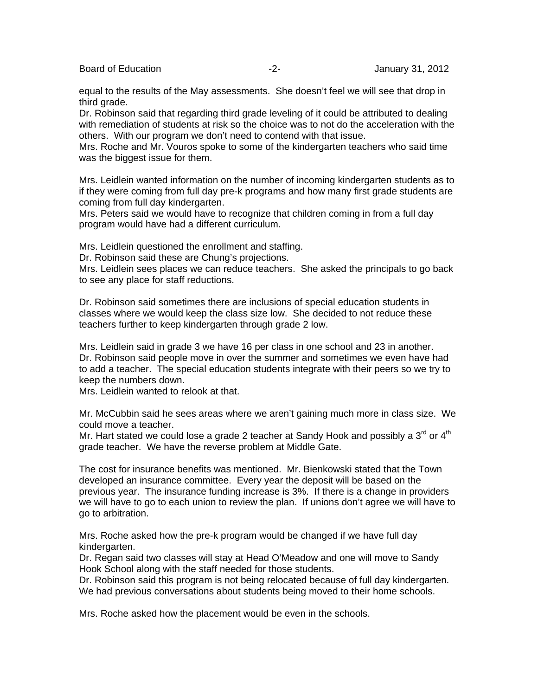Board of Education **-2-** Figure 2. Figure 2. Figure 31, 2012

equal to the results of the May assessments. She doesn't feel we will see that drop in third grade.

Dr. Robinson said that regarding third grade leveling of it could be attributed to dealing with remediation of students at risk so the choice was to not do the acceleration with the others. With our program we don't need to contend with that issue.

Mrs. Roche and Mr. Vouros spoke to some of the kindergarten teachers who said time was the biggest issue for them.

Mrs. Leidlein wanted information on the number of incoming kindergarten students as to if they were coming from full day pre-k programs and how many first grade students are coming from full day kindergarten.

Mrs. Peters said we would have to recognize that children coming in from a full day program would have had a different curriculum.

Mrs. Leidlein questioned the enrollment and staffing.

Dr. Robinson said these are Chung's projections.

Mrs. Leidlein sees places we can reduce teachers. She asked the principals to go back to see any place for staff reductions.

Dr. Robinson said sometimes there are inclusions of special education students in classes where we would keep the class size low. She decided to not reduce these teachers further to keep kindergarten through grade 2 low.

Mrs. Leidlein said in grade 3 we have 16 per class in one school and 23 in another. Dr. Robinson said people move in over the summer and sometimes we even have had to add a teacher. The special education students integrate with their peers so we try to keep the numbers down.

Mrs. Leidlein wanted to relook at that.

Mr. McCubbin said he sees areas where we aren't gaining much more in class size. We could move a teacher.

Mr. Hart stated we could lose a grade 2 teacher at Sandy Hook and possibly a  $3^{\text{rd}}$  or  $4^{\text{th}}$ grade teacher. We have the reverse problem at Middle Gate.

The cost for insurance benefits was mentioned. Mr. Bienkowski stated that the Town developed an insurance committee. Every year the deposit will be based on the previous year. The insurance funding increase is 3%. If there is a change in providers we will have to go to each union to review the plan. If unions don't agree we will have to go to arbitration.

Mrs. Roche asked how the pre-k program would be changed if we have full day kindergarten.

Dr. Regan said two classes will stay at Head O'Meadow and one will move to Sandy Hook School along with the staff needed for those students.

Dr. Robinson said this program is not being relocated because of full day kindergarten. We had previous conversations about students being moved to their home schools.

Mrs. Roche asked how the placement would be even in the schools.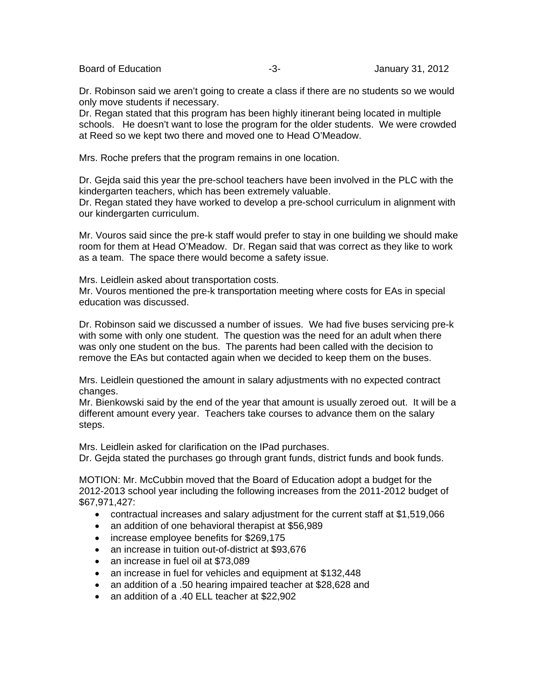Board of Education **Contact Contact Contact Contact Contact Contact Contact Contact Contact Contact Contact Contact Contact Contact Contact Contact Contact Contact Contact Contact Contact Contact Contact Contact Contact Co** 

Dr. Robinson said we aren't going to create a class if there are no students so we would only move students if necessary.

Dr. Regan stated that this program has been highly itinerant being located in multiple schools. He doesn't want to lose the program for the older students. We were crowded at Reed so we kept two there and moved one to Head O'Meadow.

Mrs. Roche prefers that the program remains in one location.

Dr. Gejda said this year the pre-school teachers have been involved in the PLC with the kindergarten teachers, which has been extremely valuable.

Dr. Regan stated they have worked to develop a pre-school curriculum in alignment with our kindergarten curriculum.

Mr. Vouros said since the pre-k staff would prefer to stay in one building we should make room for them at Head O'Meadow. Dr. Regan said that was correct as they like to work as a team. The space there would become a safety issue.

Mrs. Leidlein asked about transportation costs.

Mr. Vouros mentioned the pre-k transportation meeting where costs for EAs in special education was discussed.

Dr. Robinson said we discussed a number of issues. We had five buses servicing pre-k with some with only one student. The question was the need for an adult when there was only one student on the bus. The parents had been called with the decision to remove the EAs but contacted again when we decided to keep them on the buses.

Mrs. Leidlein questioned the amount in salary adjustments with no expected contract changes.

Mr. Bienkowski said by the end of the year that amount is usually zeroed out. It will be a different amount every year. Teachers take courses to advance them on the salary steps.

Mrs. Leidlein asked for clarification on the IPad purchases.

Dr. Gejda stated the purchases go through grant funds, district funds and book funds.

MOTION: Mr. McCubbin moved that the Board of Education adopt a budget for the 2012-2013 school year including the following increases from the 2011-2012 budget of \$67,971,427:

- contractual increases and salary adjustment for the current staff at \$1,519,066
- an addition of one behavioral therapist at \$56,989
- increase employee benefits for \$269,175
- an increase in tuition out-of-district at \$93,676
- an increase in fuel oil at \$73,089
- an increase in fuel for vehicles and equipment at \$132,448
- an addition of a .50 hearing impaired teacher at \$28,628 and
- an addition of a .40 ELL teacher at \$22,902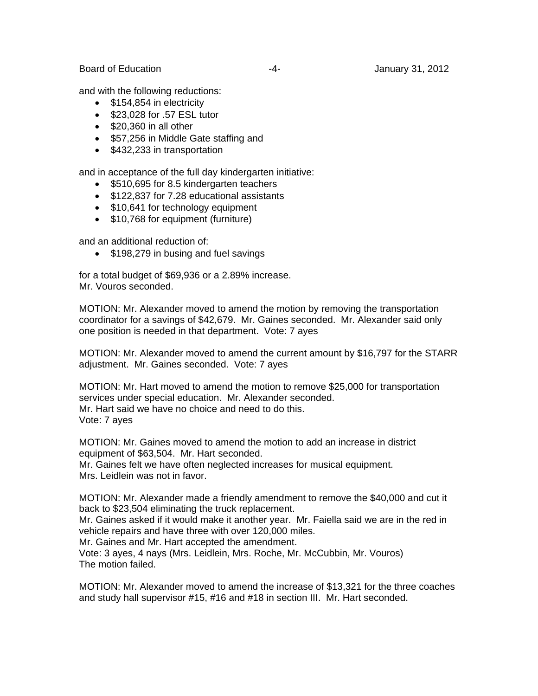and with the following reductions:

- \$154,854 in electricity
- **\$23,028 for .57 ESL tutor**
- $\bullet$  \$20,360 in all other
- \$57,256 in Middle Gate staffing and
- \$432,233 in transportation

and in acceptance of the full day kindergarten initiative:

- \$510,695 for 8.5 kindergarten teachers
- \$122,837 for 7.28 educational assistants
- \$10,641 for technology equipment
- \$10,768 for equipment (furniture)

and an additional reduction of:

• \$198,279 in busing and fuel savings

for a total budget of \$69,936 or a 2.89% increase. Mr. Vouros seconded.

MOTION: Mr. Alexander moved to amend the motion by removing the transportation coordinator for a savings of \$42,679. Mr. Gaines seconded. Mr. Alexander said only one position is needed in that department. Vote: 7 ayes

MOTION: Mr. Alexander moved to amend the current amount by \$16,797 for the STARR adjustment. Mr. Gaines seconded. Vote: 7 ayes

MOTION: Mr. Hart moved to amend the motion to remove \$25,000 for transportation services under special education. Mr. Alexander seconded. Mr. Hart said we have no choice and need to do this. Vote: 7 ayes

MOTION: Mr. Gaines moved to amend the motion to add an increase in district equipment of \$63,504. Mr. Hart seconded.

Mr. Gaines felt we have often neglected increases for musical equipment. Mrs. Leidlein was not in favor.

MOTION: Mr. Alexander made a friendly amendment to remove the \$40,000 and cut it back to \$23,504 eliminating the truck replacement.

Mr. Gaines asked if it would make it another year. Mr. Faiella said we are in the red in vehicle repairs and have three with over 120,000 miles.

Mr. Gaines and Mr. Hart accepted the amendment.

Vote: 3 ayes, 4 nays (Mrs. Leidlein, Mrs. Roche, Mr. McCubbin, Mr. Vouros) The motion failed.

MOTION: Mr. Alexander moved to amend the increase of \$13,321 for the three coaches and study hall supervisor #15, #16 and #18 in section III. Mr. Hart seconded.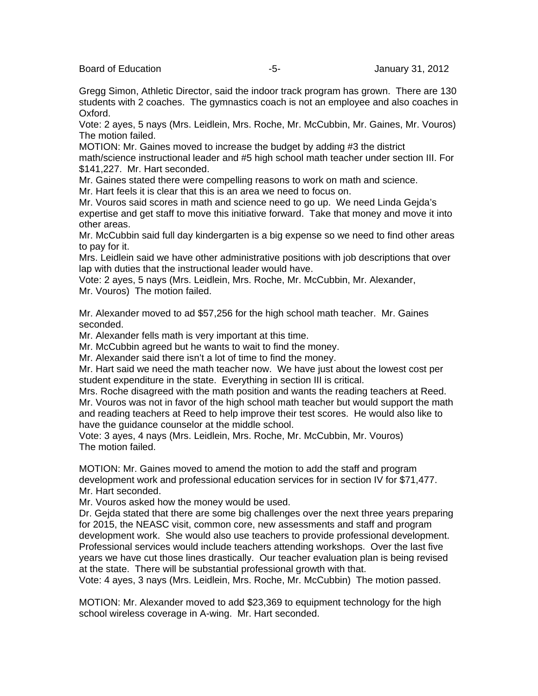Board of Education **-5-** Formulation of Education **-5-** Formulation of Education and Tagglerian and Tagglerian Association of Education and Tagglerian Association of the Second Association of the Second Association of the

Gregg Simon, Athletic Director, said the indoor track program has grown. There are 130 students with 2 coaches. The gymnastics coach is not an employee and also coaches in Oxford.

Vote: 2 ayes, 5 nays (Mrs. Leidlein, Mrs. Roche, Mr. McCubbin, Mr. Gaines, Mr. Vouros) The motion failed.

MOTION: Mr. Gaines moved to increase the budget by adding #3 the district

math/science instructional leader and #5 high school math teacher under section III. For \$141,227. Mr. Hart seconded.

Mr. Gaines stated there were compelling reasons to work on math and science.

Mr. Hart feels it is clear that this is an area we need to focus on.

Mr. Vouros said scores in math and science need to go up. We need Linda Gejda's expertise and get staff to move this initiative forward. Take that money and move it into other areas.

Mr. McCubbin said full day kindergarten is a big expense so we need to find other areas to pay for it.

Mrs. Leidlein said we have other administrative positions with job descriptions that over lap with duties that the instructional leader would have.

Vote: 2 ayes, 5 nays (Mrs. Leidlein, Mrs. Roche, Mr. McCubbin, Mr. Alexander, Mr. Vouros) The motion failed.

Mr. Alexander moved to ad \$57,256 for the high school math teacher. Mr. Gaines seconded.

Mr. Alexander fells math is very important at this time.

Mr. McCubbin agreed but he wants to wait to find the money.

Mr. Alexander said there isn't a lot of time to find the money.

Mr. Hart said we need the math teacher now. We have just about the lowest cost per student expenditure in the state. Everything in section III is critical.

Mrs. Roche disagreed with the math position and wants the reading teachers at Reed. Mr. Vouros was not in favor of the high school math teacher but would support the math and reading teachers at Reed to help improve their test scores. He would also like to have the guidance counselor at the middle school.

Vote: 3 ayes, 4 nays (Mrs. Leidlein, Mrs. Roche, Mr. McCubbin, Mr. Vouros) The motion failed.

MOTION: Mr. Gaines moved to amend the motion to add the staff and program development work and professional education services for in section IV for \$71,477. Mr. Hart seconded.

Mr. Vouros asked how the money would be used.

Dr. Gejda stated that there are some big challenges over the next three years preparing for 2015, the NEASC visit, common core, new assessments and staff and program development work. She would also use teachers to provide professional development. Professional services would include teachers attending workshops. Over the last five years we have cut those lines drastically. Our teacher evaluation plan is being revised at the state. There will be substantial professional growth with that.

Vote: 4 ayes, 3 nays (Mrs. Leidlein, Mrs. Roche, Mr. McCubbin) The motion passed.

MOTION: Mr. Alexander moved to add \$23,369 to equipment technology for the high school wireless coverage in A-wing. Mr. Hart seconded.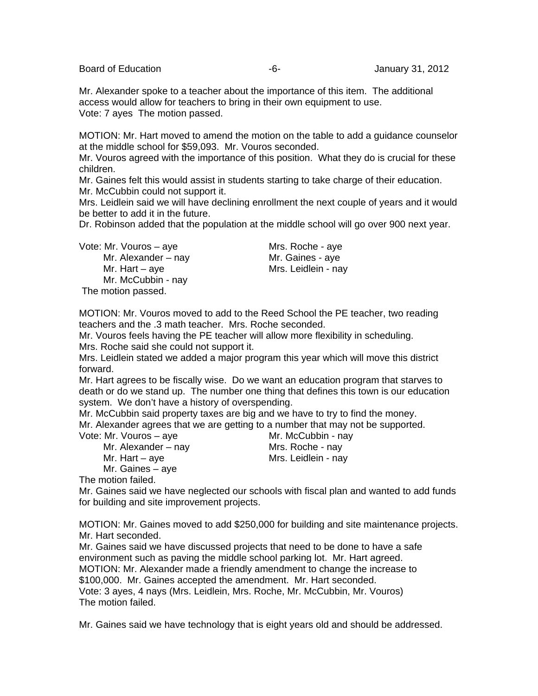Board of Education **-6-** Formulary 31, 2012

Mr. Alexander spoke to a teacher about the importance of this item. The additional access would allow for teachers to bring in their own equipment to use. Vote: 7 ayes The motion passed.

MOTION: Mr. Hart moved to amend the motion on the table to add a guidance counselor at the middle school for \$59,093. Mr. Vouros seconded.

Mr. Vouros agreed with the importance of this position. What they do is crucial for these children.

Mr. Gaines felt this would assist in students starting to take charge of their education. Mr. McCubbin could not support it.

Mrs. Leidlein said we will have declining enrollment the next couple of years and it would be better to add it in the future.

Dr. Robinson added that the population at the middle school will go over 900 next year.

Vote: Mr. Vouros – aye Mrs. Roche - aye

Mr. Hart – aye **Mrs. Leidlein - nay** Mr. McCubbin - nay The motion passed.

Mr. Alexander – nay Mr. Gaines - aye

MOTION: Mr. Vouros moved to add to the Reed School the PE teacher, two reading teachers and the .3 math teacher. Mrs. Roche seconded.

Mr. Vouros feels having the PE teacher will allow more flexibility in scheduling. Mrs. Roche said she could not support it.

Mrs. Leidlein stated we added a major program this year which will move this district forward.

Mr. Hart agrees to be fiscally wise. Do we want an education program that starves to death or do we stand up. The number one thing that defines this town is our education system. We don't have a history of overspending.

Mr. McCubbin said property taxes are big and we have to try to find the money.

Mr. Alexander agrees that we are getting to a number that may not be supported. Vote: Mr. V

| Vote: Mr. Vouros – ave | Mr. McCubbin - nay  |
|------------------------|---------------------|
| Mr. Alexander – nay    | Mrs. Roche - nay    |
| Mr. Hart $-$ aye       | Mrs. Leidlein - nay |
| Mr. Gaines - aye       |                     |

The motion failed.

Mr. Gaines said we have neglected our schools with fiscal plan and wanted to add funds for building and site improvement projects.

MOTION: Mr. Gaines moved to add \$250,000 for building and site maintenance projects. Mr. Hart seconded.

Mr. Gaines said we have discussed projects that need to be done to have a safe environment such as paving the middle school parking lot. Mr. Hart agreed. MOTION: Mr. Alexander made a friendly amendment to change the increase to \$100,000. Mr. Gaines accepted the amendment. Mr. Hart seconded. Vote: 3 ayes, 4 nays (Mrs. Leidlein, Mrs. Roche, Mr. McCubbin, Mr. Vouros) The motion failed.

Mr. Gaines said we have technology that is eight years old and should be addressed.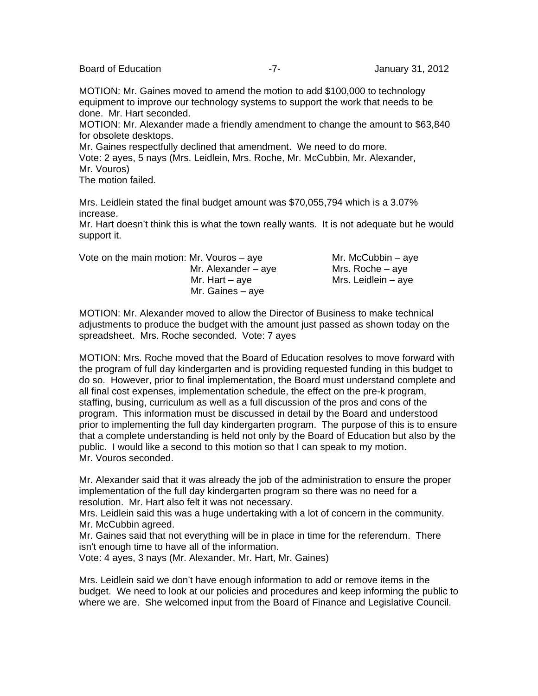Board of Education **Contract Contract Contract Contract Contract Contract Contract Contract Contract Contract Contract Contract Contract Contract Contract Contract Contract Contract Contract Contract Contract Contract Cont** 

MOTION: Mr. Gaines moved to amend the motion to add \$100,000 to technology equipment to improve our technology systems to support the work that needs to be done. Mr. Hart seconded.

MOTION: Mr. Alexander made a friendly amendment to change the amount to \$63,840 for obsolete desktops.

Mr. Gaines respectfully declined that amendment. We need to do more. Vote: 2 ayes, 5 nays (Mrs. Leidlein, Mrs. Roche, Mr. McCubbin, Mr. Alexander, Mr. Vouros) The motion failed.

Mrs. Leidlein stated the final budget amount was \$70,055,794 which is a 3.07% increase.

Mr. Hart doesn't think this is what the town really wants. It is not adequate but he would support it.

Vote on the main motion: Mr. Vouros – aye  $Mr$ . McCubbin – aye

Mr. Gaines – aye

Mr. Alexander – aye Mrs. Roche – aye Mr. Hart – aye  $Mrs$ . Leidlein – aye

MOTION: Mr. Alexander moved to allow the Director of Business to make technical adjustments to produce the budget with the amount just passed as shown today on the spreadsheet. Mrs. Roche seconded. Vote: 7 ayes

MOTION: Mrs. Roche moved that the Board of Education resolves to move forward with the program of full day kindergarten and is providing requested funding in this budget to do so. However, prior to final implementation, the Board must understand complete and all final cost expenses, implementation schedule, the effect on the pre-k program, staffing, busing, curriculum as well as a full discussion of the pros and cons of the program. This information must be discussed in detail by the Board and understood prior to implementing the full day kindergarten program. The purpose of this is to ensure that a complete understanding is held not only by the Board of Education but also by the public. I would like a second to this motion so that I can speak to my motion. Mr. Vouros seconded.

Mr. Alexander said that it was already the job of the administration to ensure the proper implementation of the full day kindergarten program so there was no need for a resolution. Mr. Hart also felt it was not necessary.

Mrs. Leidlein said this was a huge undertaking with a lot of concern in the community. Mr. McCubbin agreed.

Mr. Gaines said that not everything will be in place in time for the referendum. There isn't enough time to have all of the information.

Vote: 4 ayes, 3 nays (Mr. Alexander, Mr. Hart, Mr. Gaines)

Mrs. Leidlein said we don't have enough information to add or remove items in the budget. We need to look at our policies and procedures and keep informing the public to where we are. She welcomed input from the Board of Finance and Legislative Council.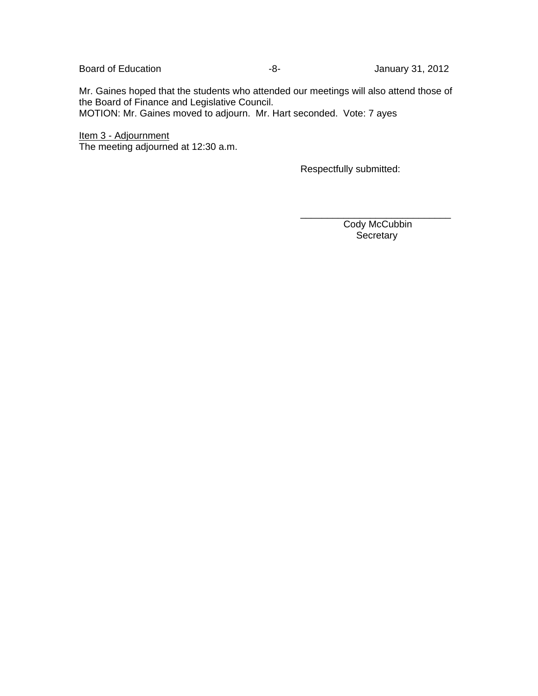Board of Education **Contract Contract Contract Contract Contract Contract Contract Contract Contract Contract Contract Contract Contract Contract Contract Contract Contract Contract Contract Contract Contract Contract Cont** 

Mr. Gaines hoped that the students who attended our meetings will also attend those of the Board of Finance and Legislative Council.

 $\overline{\phantom{a}}$  , and the contract of the contract of the contract of the contract of the contract of the contract of the contract of the contract of the contract of the contract of the contract of the contract of the contrac

MOTION: Mr. Gaines moved to adjourn. Mr. Hart seconded. Vote: 7 ayes

Item 3 - Adjournment The meeting adjourned at 12:30 a.m.

Respectfully submitted:

Cody McCubbin **Secretary**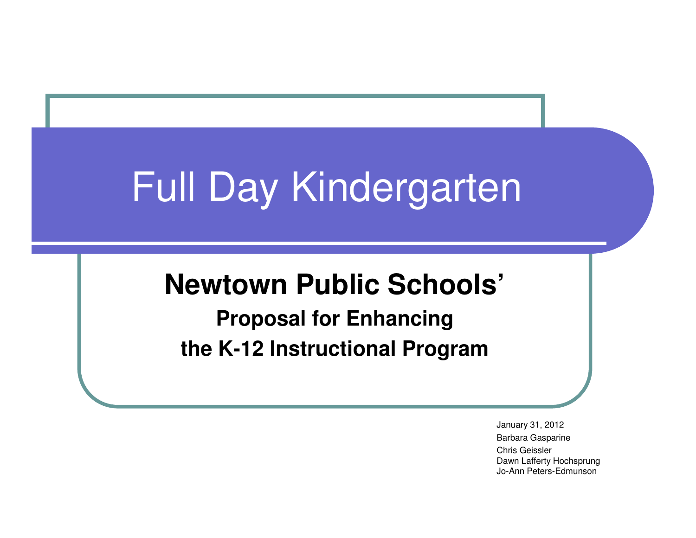# Full Day Kindergarten

### **Newtown Public Schools'**

**Proposal for Enhancing the K-12 Instructional Program**

> January 31, 2012 Barbara GasparineChris Geissler Dawn Lafferty HochsprungJo-Ann Peters-Edmunson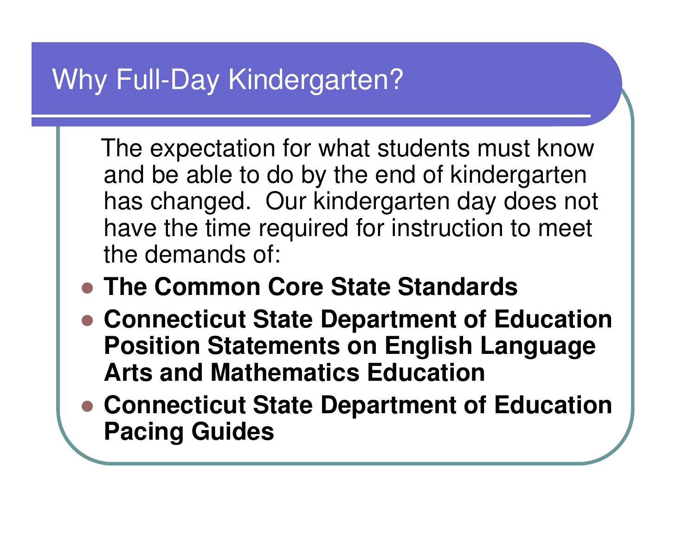### Why Full-Day Kindergarten?

The expectation for what students must know and be able to do by the end of kindergarten has changed. Our kindergarten day does not have the time required for instruction to meet the demands of:

- **The Common Core State Standards**
- **Connecticut State Department of Education Position Statements on English Language Arts and Mathematics Education**
- **Connecticut State Department of Education Pacing Guides**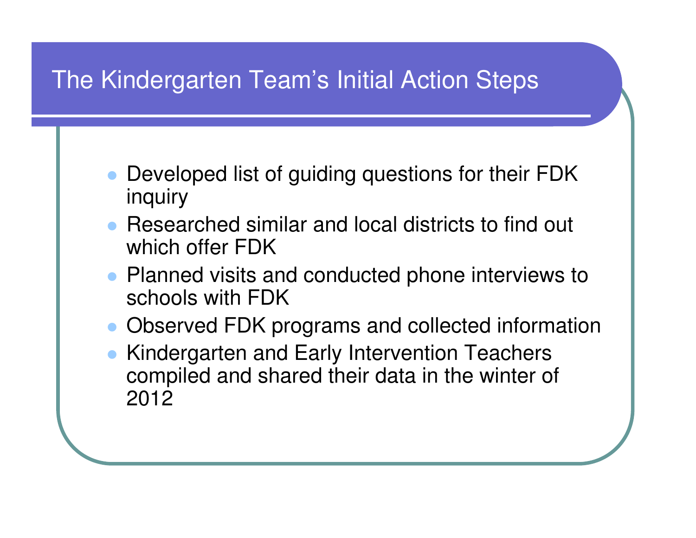### The Kindergarten Team's Initial Action Steps

- $\bullet$  Developed list of guiding questions for their FDK inquiry
- Researched similar and local districts to find out which offer FDK
- Planned visits and conducted phone interviews to schools with FDK
- Observed FDK programs and collected information
- $\bullet$  Kindergarten and Early Intervention Teachers compiled and shared their data in the winter of 2012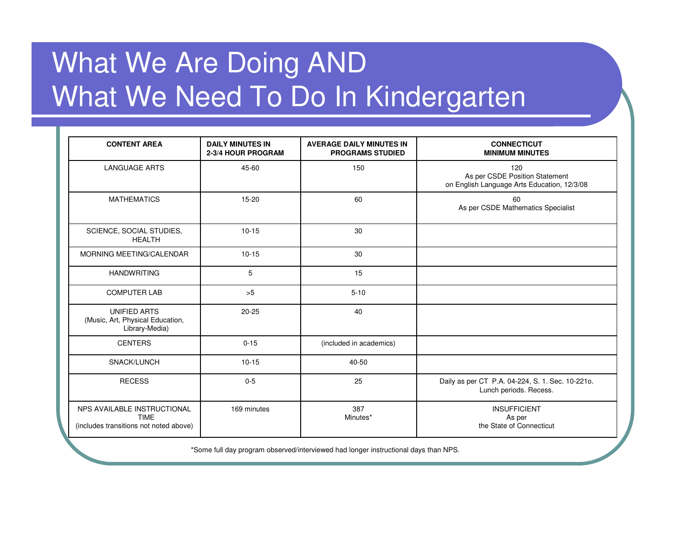### What We Are Doing AND What We Need To Do In Kindergarten

| <b>CONTENT AREA</b>                                                                  | <b>DAILY MINUTES IN</b><br>2-3/4 HOUR PROGRAM | <b>AVERAGE DAILY MINUTES IN</b><br><b>PROGRAMS STUDIED</b> | <b>CONNECTICUT</b><br><b>MINIMUM MINUTES</b>                                         |
|--------------------------------------------------------------------------------------|-----------------------------------------------|------------------------------------------------------------|--------------------------------------------------------------------------------------|
| <b>LANGUAGE ARTS</b>                                                                 | 45-60                                         | 150                                                        | 120<br>As per CSDE Position Statement<br>on English Language Arts Education, 12/3/08 |
| <b>MATHEMATICS</b>                                                                   | 15-20                                         | 60                                                         | 60<br>As per CSDE Mathematics Specialist                                             |
| SCIENCE, SOCIAL STUDIES,<br><b>HEALTH</b>                                            | $10 - 15$                                     | 30                                                         |                                                                                      |
| MORNING MEETING/CALENDAR                                                             | $10 - 15$                                     | 30                                                         |                                                                                      |
| <b>HANDWRITING</b>                                                                   | 5                                             | 15                                                         |                                                                                      |
| <b>COMPUTER LAB</b>                                                                  | >5                                            | $5 - 10$                                                   |                                                                                      |
| <b>UNIFIED ARTS</b><br>(Music, Art, Physical Education,<br>Library-Media)            | $20 - 25$                                     | 40                                                         |                                                                                      |
| <b>CENTERS</b>                                                                       | $0 - 15$                                      | (included in academics)                                    |                                                                                      |
| SNACK/LUNCH                                                                          | $10 - 15$                                     | 40-50                                                      |                                                                                      |
| <b>RECESS</b>                                                                        | $0 - 5$                                       | 25                                                         | Daily as per CT P.A. 04-224, S. 1. Sec. 10-2210.<br>Lunch periods. Recess.           |
| NPS AVAILABLE INSTRUCTIONAL<br><b>TIME</b><br>(includes transitions not noted above) | 169 minutes                                   | 387<br>Minutes*                                            | <b>INSUFFICIENT</b><br>As per<br>the State of Connecticut                            |

\*Some full day program observed/interviewed had longer instructional days than NPS.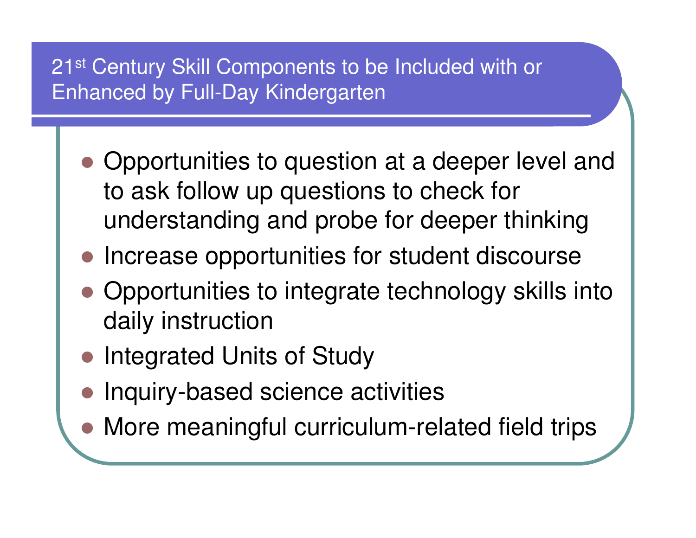### 21<sup>st</sup> Century Skill Components to be Included with or Enhanced by Full-Day Kindergarten

- Opportunities to question at a deeper level and to ask follow up questions to check for understanding and probe for deeper thinking
- **Increase opportunities for student discourse**
- Opportunities to integrate technology skills into daily instruction
- $\bullet$ Integrated Units of Study
- Inquiry-based science activities
- More meaningful curriculum-related field trips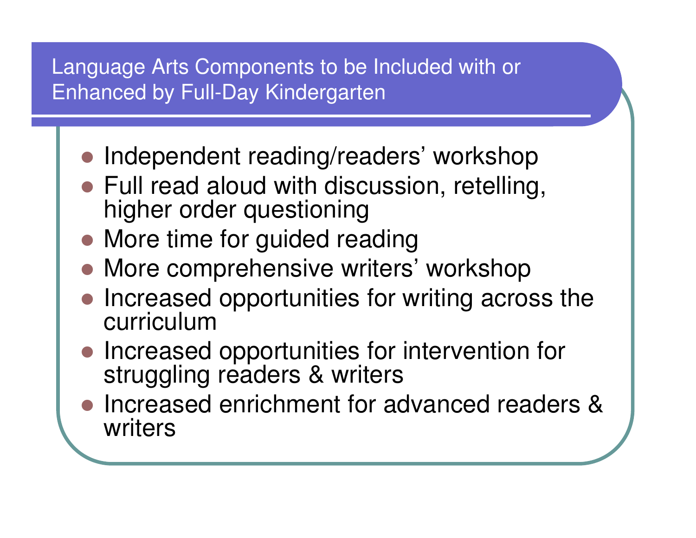### Language Arts Components to be Included with or Enhanced by Full-Day Kindergarten

- $\bullet$ Independent reading/readers' workshop
- Full read aloud with discussion, retelling, higher order questioning
- More time for guided reading
- **More comprehensive writers' workshop**
- Increased opportunities for writing across the curriculum
- • Increased opportunities for intervention for struggling readers & writers
- Increased enrichment for advanced readers & writers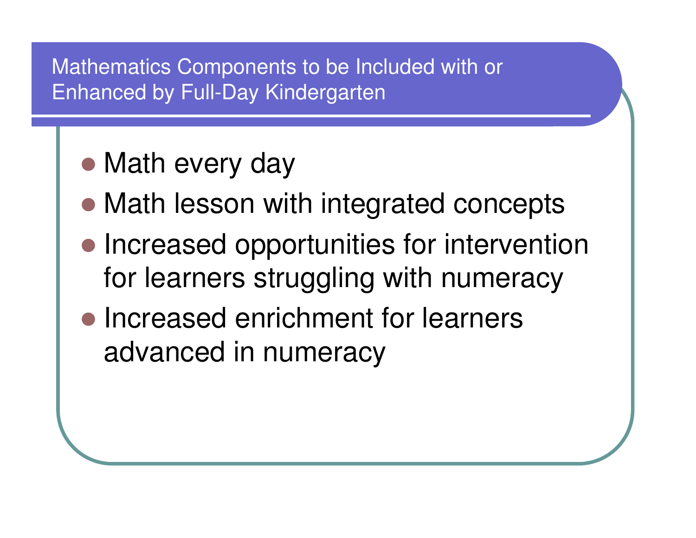#### Mathematics Components to be Included with or Enhanced by Full-Day Kindergarten

- Math every day
- Math lesson with integrated concepts
- Increased opportunities for intervention for learners struggling with numeracy
- Increased enrichment for learners advanced in numeracy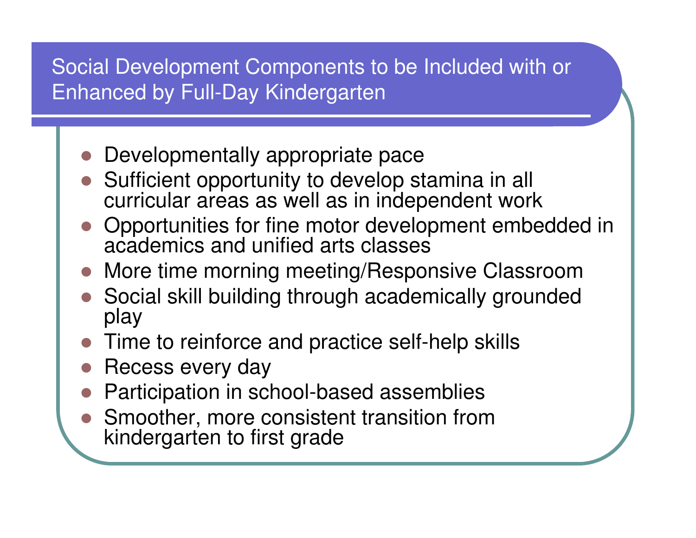### Social Development Components to be Included with or Enhanced by Full-Day Kindergarten

- **Developmentally appropriate pace**
- Sufficient opportunity to develop stamina in all<br>existing larges as well as in independent work curricular areas as well as in independent work
- Opportunities for fine motor development embedded in academics and unified arts classes
- **More time morning meeting/Responsive Classroom**
- Social skill building through academically grounded play
- Time to reinforce and practice self-help skills
- **Recess every day**
- Participation in school-based assemblies
- Smoother, more consistent transition from kindergarten to first grade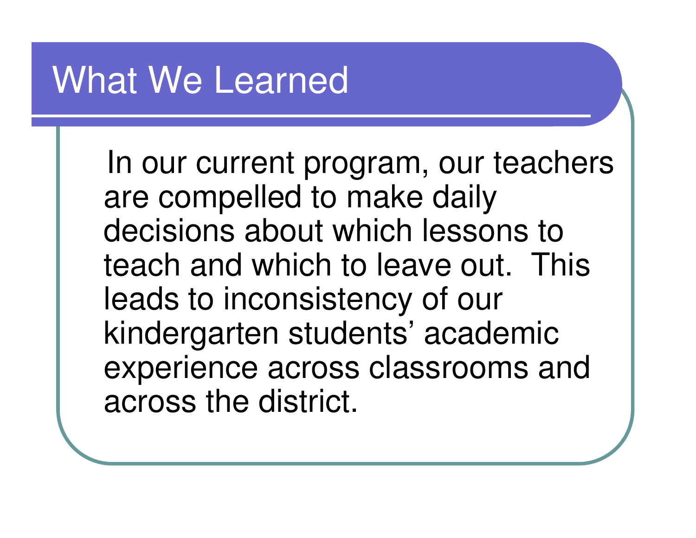## What We Learned

In our current program, our teachers are compelled to make daily decisions about which lessons to teach and which to leave out. This leads to inconsistency of our kindergarten students' academic experience across classrooms and across the district.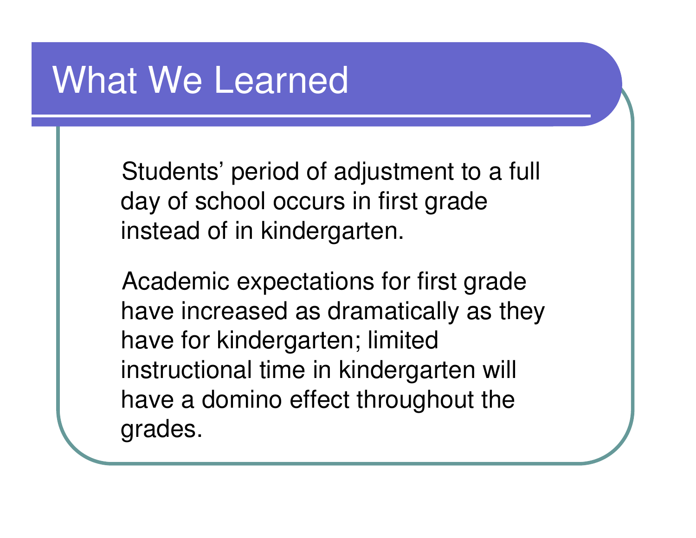### What We Learned

Students' period of adjustment to a full day of school occurs in first grade instead of in kindergarten.

Academic expectations for first grade have increased as dramatically as they have for kindergarten; limited instructional time in kindergarten will have a domino effect throughout the grades.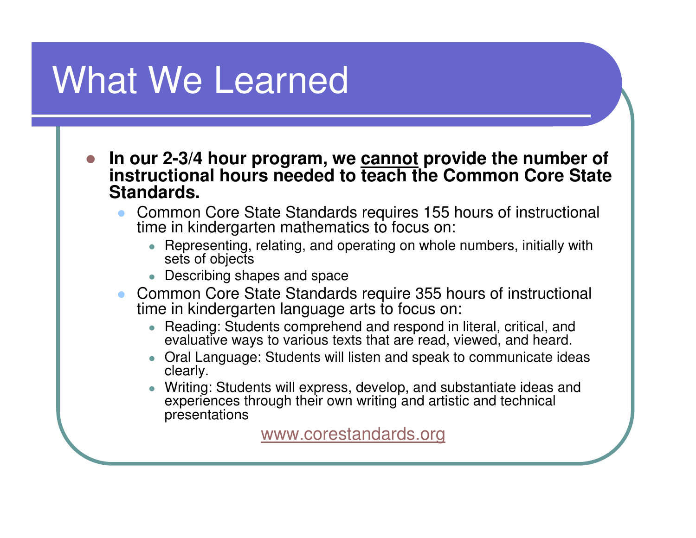# What We Learned

- $\bullet$  **In our 2-3/4 hour program, we cannot provide the number of instructional hours needed to teach the Common Core State Standards.**
	- $\bullet$  Common Core State Standards requires 155 hours of instructional time in kindergarten mathematics to focus on:
		- 0 Representing, relating, and operating on whole numbers, initially with sets of objects
		- Describing shapes and space0
	- Common Core State Standards require 355 hours of instructional time in kindergarten language arts to focus on:
		- 0 Reading: Students comprehend and respond in literal, critical, and evaluative ways to various texts that are read, viewed, and heard.
		- Oral Language: Students will listen and speak to communicate ideas clearly.
		- 0 Writing: Students will express, develop, and substantiate ideas and experiences through their own writing and artistic and technical presentations

www.corestandards.org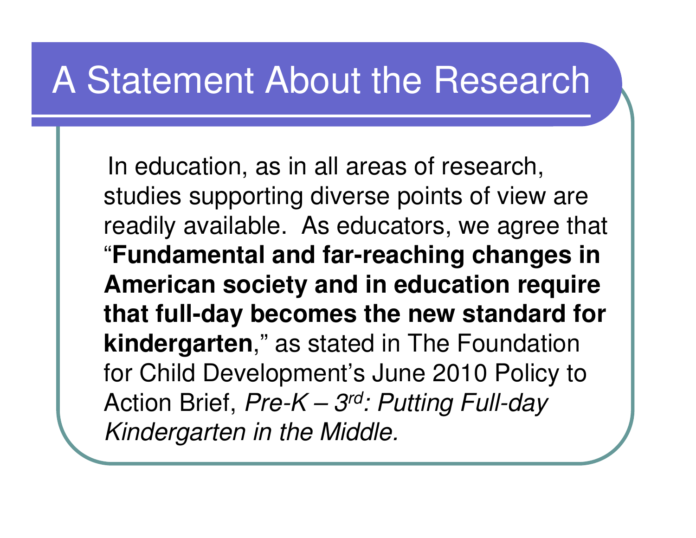## A Statement About the Research

In education, as in all areas of research, studies supporting diverse points of view are readily available. As educators, we agree that"**Fundamental and far-reaching changes in American society and in education require that full-day becomes the new standard for kindergarten**," as stated in The Foundation for Child Development's June 2010 Policy to Action Brief,  $Pre-K-3^{rd}$ : Putting Full-day Kindergarten in the Middle.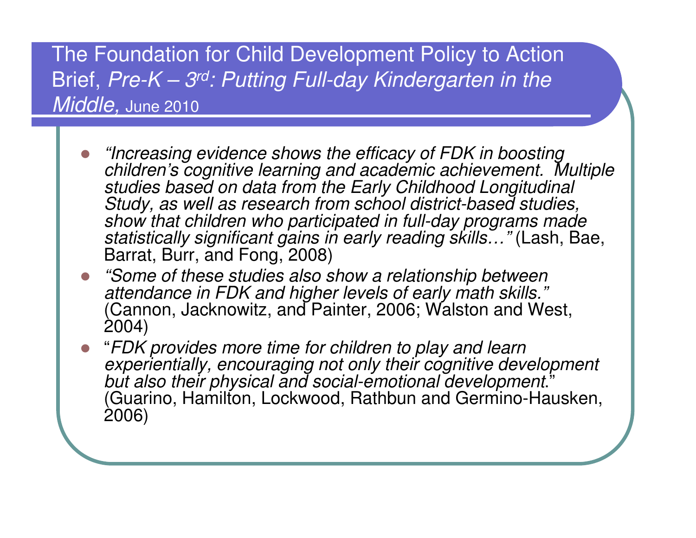The Foundation for Child Development Policy to Action Brief,  $Pre-K-3^{rd}$ : Putting Full-day Kindergarten in the Middle, June 2010

- $\bullet$  "Increasing evidence shows the efficacy of FDK in boosting children's cognitive learning and academic achievement. Multiple studies based on data from the Early Childhood Longitudinal Study, as well as research from school district-based studies, show that children who participated in full-day programs made <u>s</u>tatistically significant gains in early reading skills…" (Lash, Bae, Barrat, Burr, and Fong, 2008)
- "Some of these studies also show a relationship between  $\bullet$ attendance in FDK and higher levels of early math skills." (Cannon, Jacknowitz, and Painter, 2006; Walston and West, 2004)
- "FDK provides more time for children to play and learn experientially, encouraging not only their cognitive development but also their physical and social-emotional development." (Guarino, Hamilton, Lockwood, Rathbun and Germino-Hausken, 2006)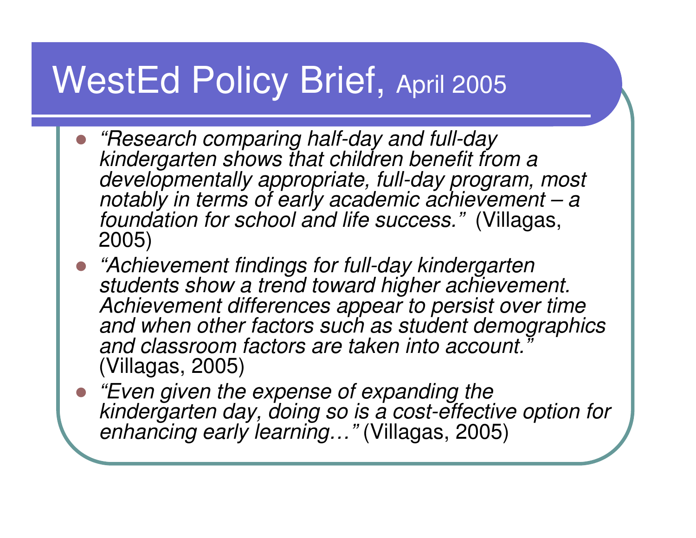# WestEd Policy Brief, April 2005

- $\bullet$ • "Research comparing half-day and full-day" kindergarten shows that children benefit from a developmentally appropriate, full-day program, most notably in terms of early academic achievement – <sup>a</sup> foundation for school and life success." (Villagas, 2005)
- "Achievement findings for full-day kindergarten students show a trend toward higher achievement. Achievement differences appear to persist over time and when other factors such as student demographics and classroom factors are taken into account. (Villagas, 2005)
- "Even given the expense of expanding the<br>kindergarten day, deing so is a cost offectiv kindergarten day, doing so is a cost-effective option for enhancing early learning…" (Villagas, 2005)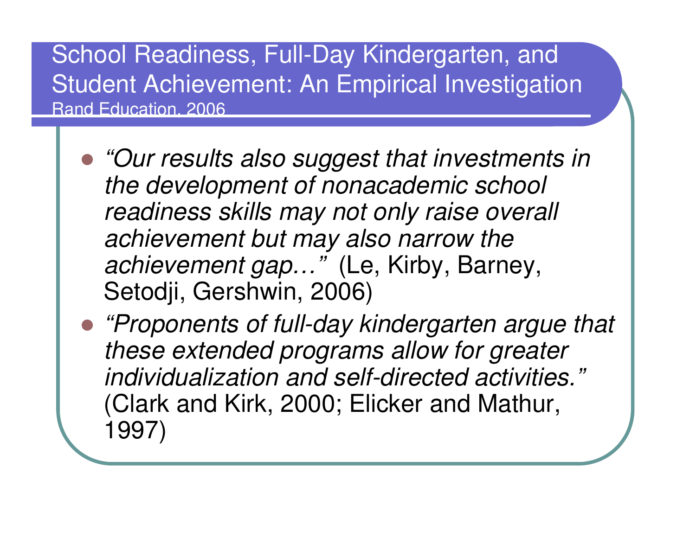### School Readiness, Full-Day Kindergarten, and Student Achievement: An Empirical Investigation Rand Education, 2006

- "Our results also suggest that investments in the development of nonacademic school readiness skills may not only raise overall achievement but may also narrow the achievement gap..." (Le, Kirby, Barney, Setodji, Gershwin, 2006)
- "Proponents of full-day kindergarten argue that these extended programs allow for greater individualization and self-directed activities."(Clark and Kirk, 2000; Elicker and Mathur, 1997)